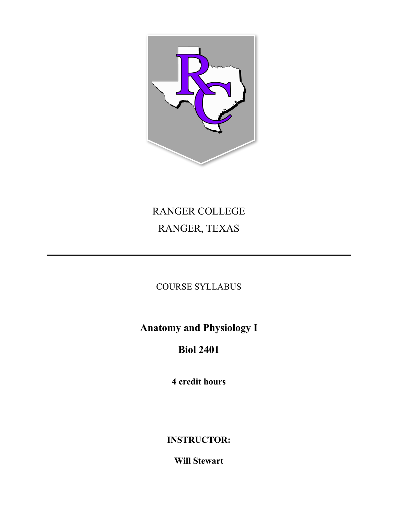

# RANGER COLLEGE RANGER, TEXAS

COURSE SYLLABUS

**Anatomy and Physiology I** 

## **Biol 2401**

**4 credit hours** 

**INSTRUCTOR:** 

**Will Stewart**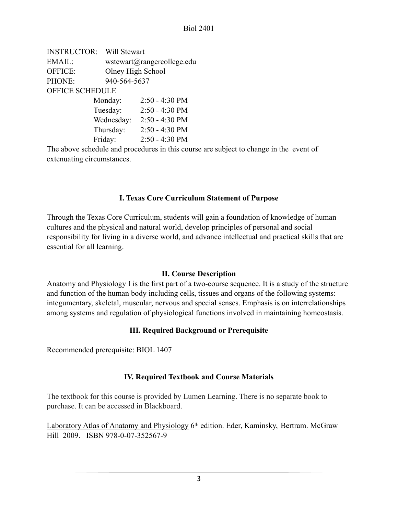| <b>INSTRUCTOR:</b>     | Will Stewart |                            |  |  |
|------------------------|--------------|----------------------------|--|--|
| EMAIL:                 |              | wstewart@rangercollege.edu |  |  |
| OFFICE:                |              | Olney High School          |  |  |
| PHONE:                 |              | 940-564-5637               |  |  |
| <b>OFFICE SCHEDULE</b> |              |                            |  |  |
|                        | Monday:      | $2:50 - 4:30 \text{ PM}$   |  |  |
|                        | Tuesday:     | $2:50 - 4:30$ PM           |  |  |
|                        | Wednesday:   | $2:50 - 4:30$ PM           |  |  |
|                        | Thursday:    | $2:50 - 4:30 \text{ PM}$   |  |  |
|                        | Friday:      | $2:50 - 4:30 \text{ PM}$   |  |  |
|                        |              |                            |  |  |

The above schedule and procedures in this course are subject to change in the event of extenuating circumstances.

## **I. Texas Core Curriculum Statement of Purpose**

Through the Texas Core Curriculum, students will gain a foundation of knowledge of human cultures and the physical and natural world, develop principles of personal and social responsibility for living in a diverse world, and advance intellectual and practical skills that are essential for all learning.

## **II. Course Description**

Anatomy and Physiology I is the first part of a two-course sequence. It is a study of the structure and function of the human body including cells, tissues and organs of the following systems: integumentary, skeletal, muscular, nervous and special senses. Emphasis is on interrelationships among systems and regulation of physiological functions involved in maintaining homeostasis.

## **III. Required Background or Prerequisite**

Recommended prerequisite: BIOL 1407

## **IV. Required Textbook and Course Materials**

The textbook for this course is provided by Lumen Learning. There is no separate book to purchase. It can be accessed in Blackboard.

Laboratory Atlas of Anatomy and Physiology 6<sup>th</sup> edition. Eder, Kaminsky, Bertram. McGraw Hill 2009. ISBN 978-0-07-352567-9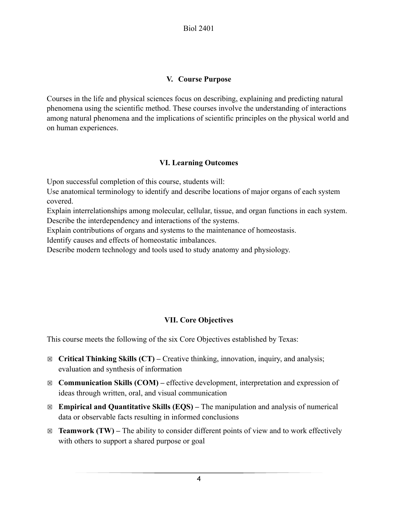## **V. Course Purpose**

Courses in the life and physical sciences focus on describing, explaining and predicting natural phenomena using the scientific method. These courses involve the understanding of interactions among natural phenomena and the implications of scientific principles on the physical world and on human experiences.

## **VI. Learning Outcomes**

Upon successful completion of this course, students will:

Use anatomical terminology to identify and describe locations of major organs of each system covered.

Explain interrelationships among molecular, cellular, tissue, and organ functions in each system. Describe the interdependency and interactions of the systems.

Explain contributions of organs and systems to the maintenance of homeostasis.

Identify causes and effects of homeostatic imbalances.

Describe modern technology and tools used to study anatomy and physiology.

## **VII. Core Objectives**

This course meets the following of the six Core Objectives established by Texas:

- ☒ **Critical Thinking Skills (CT)** Creative thinking, innovation, inquiry, and analysis; evaluation and synthesis of information
- ☒ **Communication Skills (COM)** effective development, interpretation and expression of ideas through written, oral, and visual communication
- ☒ **Empirical and Quantitative Skills (EQS)** The manipulation and analysis of numerical data or observable facts resulting in informed conclusions
- $\boxtimes$  **Teamwork (TW)** The ability to consider different points of view and to work effectively with others to support a shared purpose or goal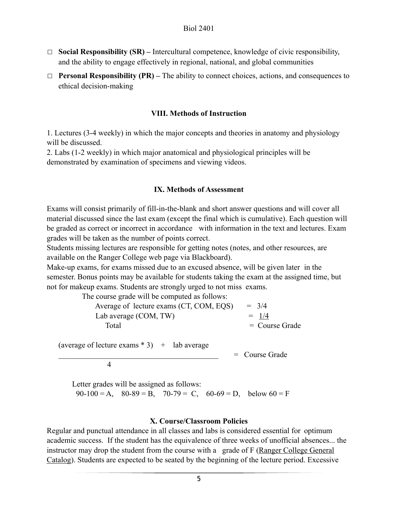- ☐ **Social Responsibility (SR)** Intercultural competence, knowledge of civic responsibility, and the ability to engage effectively in regional, national, and global communities
- ☐ **Personal Responsibility (PR)** The ability to connect choices, actions, and consequences to ethical decision-making

#### **VIII. Methods of Instruction**

1. Lectures (3-4 weekly) in which the major concepts and theories in anatomy and physiology will be discussed.

2. Labs (1-2 weekly) in which major anatomical and physiological principles will be demonstrated by examination of specimens and viewing videos.

#### **IX. Methods of Assessment**

Exams will consist primarily of fill-in-the-blank and short answer questions and will cover all material discussed since the last exam (except the final which is cumulative). Each question will be graded as correct or incorrect in accordance with information in the text and lectures. Exam grades will be taken as the number of points correct.

Students missing lectures are responsible for getting notes (notes, and other resources, are available on the Ranger College web page via Blackboard).

Make-up exams, for exams missed due to an excused absence, will be given later in the semester. Bonus points may be available for students taking the exam at the assigned time, but not for makeup exams. Students are strongly urged to not miss exams.

| The course grade will be computed as follows: |                  |
|-----------------------------------------------|------------------|
| Average of lecture exams (CT, COM, EQS)       | $= 3/4$          |
| Lab average (COM, TW)                         | $= 1/4$          |
| Total                                         | $=$ Course Grade |
|                                               |                  |

 $=$  Course Grade

(average of lecture exams  $* 3$ ) + lab average

4

 Letter grades will be assigned as follows:  $90-100 = A$ ,  $80-89 = B$ ,  $70-79 = C$ ,  $60-69 = D$ , below  $60 = F$ 

#### **X. Course/Classroom Policies**

Regular and punctual attendance in all classes and labs is considered essential for optimum academic success. If the student has the equivalence of three weeks of unofficial absences... the instructor may drop the student from the course with a grade of F (Ranger College General Catalog). Students are expected to be seated by the beginning of the lecture period. Excessive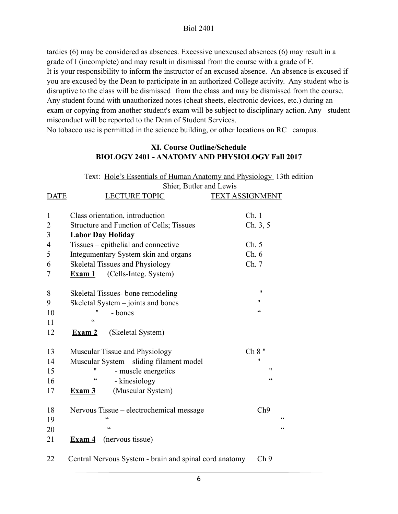tardies (6) may be considered as absences. Excessive unexcused absences (6) may result in a grade of I (incomplete) and may result in dismissal from the course with a grade of F. It is your responsibility to inform the instructor of an excused absence. An absence is excused if you are excused by the Dean to participate in an authorized College activity. Any student who is disruptive to the class will be dismissed from the class and may be dismissed from the course. Any student found with unauthorized notes (cheat sheets, electronic devices, etc.) during an exam or copying from another student's exam will be subject to disciplinary action. Any student misconduct will be reported to the Dean of Student Services. No tobacco use is permitted in the science building, or other locations on RC campus.

#### **XI. Course Outline/Schedule BIOLOGY 2401 - ANATOMY AND PHYSIOLOGY Fall 2017**

|                | Text: Hole's Essentials of Human Anatomy and Physiology 13th edition |                          |  |  |  |
|----------------|----------------------------------------------------------------------|--------------------------|--|--|--|
|                | Shier, Butler and Lewis                                              |                          |  |  |  |
| <b>DATE</b>    | <b>LECTURE TOPIC</b>                                                 | <b>TEXT ASSIGNMENT</b>   |  |  |  |
|                |                                                                      |                          |  |  |  |
| $\mathbf{1}$   | Class orientation, introduction                                      | Ch.1                     |  |  |  |
| $\overline{2}$ | Structure and Function of Cells; Tissues                             | Ch. 3, 5                 |  |  |  |
| 3              | <b>Labor Day Holiday</b>                                             |                          |  |  |  |
| 4              | Tissues – epithelial and connective                                  | Ch. 5                    |  |  |  |
| 5              | Integumentary System skin and organs                                 | Ch.6                     |  |  |  |
| 6              | Skeletal Tissues and Physiology                                      | Ch. 7                    |  |  |  |
| 7              | (Cells-Integ. System)<br>Exam 1                                      |                          |  |  |  |
| 8              | Skeletal Tissues-bone remodeling                                     | $^{\prime\prime}$        |  |  |  |
| 9              | Skeletal System – joints and bones                                   | 11                       |  |  |  |
| 10             | 11<br>- bones                                                        | $\boldsymbol{\varsigma}$ |  |  |  |
| 11             | $\epsilon$                                                           |                          |  |  |  |
| 12             | (Skeletal System)<br>$\mathbf{Exam}2$                                |                          |  |  |  |
| 13             | Muscular Tissue and Physiology                                       | Ch 8"                    |  |  |  |
| 14             | Muscular System - sliding filament model                             | 11                       |  |  |  |
| 15             | 11<br>- muscle energetics                                            | $^{\prime\prime}$        |  |  |  |
| 16             | $\zeta$ $\zeta$<br>- kinesiology                                     | $\zeta$ $\zeta$          |  |  |  |
| 17             | (Muscular System)<br>$\mathbf{Exam}3$                                |                          |  |  |  |
| 18             | Nervous Tissue – electrochemical message                             | Ch9                      |  |  |  |
| 19             |                                                                      | C                        |  |  |  |
| 20             | $\epsilon$                                                           | $\epsilon$               |  |  |  |
| 21             | (nervous tissue)<br>$Example 4$                                      |                          |  |  |  |
| 22             | Central Nervous System - brain and spinal cord anatomy               | Ch <sub>9</sub>          |  |  |  |